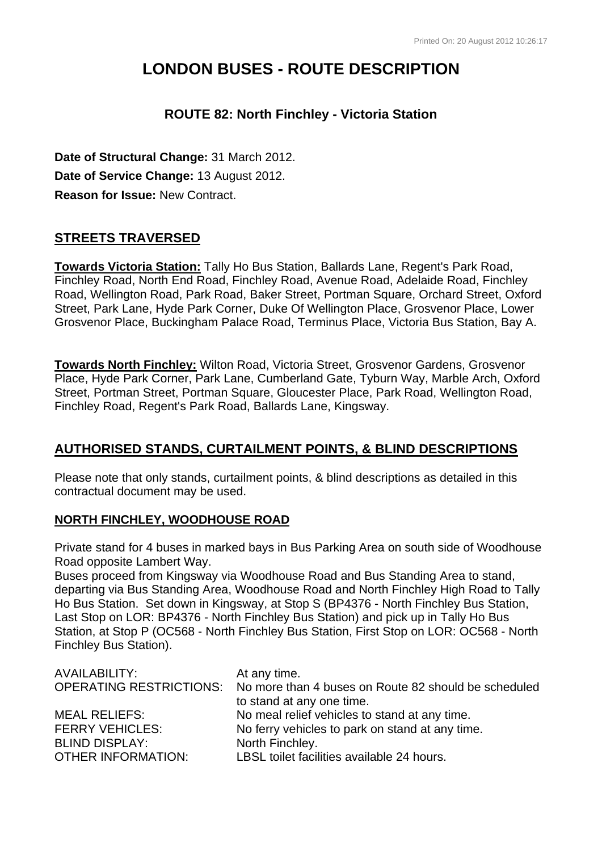# **LONDON BUSES - ROUTE DESCRIPTION**

# **ROUTE 82: North Finchley - Victoria Station**

**Date of Structural Change:** 31 March 2012. **Date of Service Change:** 13 August 2012. **Reason for Issue:** New Contract.

# **STREETS TRAVERSED**

**Towards Victoria Station:** Tally Ho Bus Station, Ballards Lane, Regent's Park Road, Finchley Road, North End Road, Finchley Road, Avenue Road, Adelaide Road, Finchley Road, Wellington Road, Park Road, Baker Street, Portman Square, Orchard Street, Oxford Street, Park Lane, Hyde Park Corner, Duke Of Wellington Place, Grosvenor Place, Lower Grosvenor Place, Buckingham Palace Road, Terminus Place, Victoria Bus Station, Bay A.

**Towards North Finchley:** Wilton Road, Victoria Street, Grosvenor Gardens, Grosvenor Place, Hyde Park Corner, Park Lane, Cumberland Gate, Tyburn Way, Marble Arch, Oxford Street, Portman Street, Portman Square, Gloucester Place, Park Road, Wellington Road, Finchley Road, Regent's Park Road, Ballards Lane, Kingsway.

# **AUTHORISED STANDS, CURTAILMENT POINTS, & BLIND DESCRIPTIONS**

Please note that only stands, curtailment points, & blind descriptions as detailed in this contractual document may be used.

## **NORTH FINCHLEY, WOODHOUSE ROAD**

Private stand for 4 buses in marked bays in Bus Parking Area on south side of Woodhouse Road opposite Lambert Way.

Buses proceed from Kingsway via Woodhouse Road and Bus Standing Area to stand, departing via Bus Standing Area, Woodhouse Road and North Finchley High Road to Tally Ho Bus Station. Set down in Kingsway, at Stop S (BP4376 - North Finchley Bus Station, Last Stop on LOR: BP4376 - North Finchley Bus Station) and pick up in Tally Ho Bus Station, at Stop P (OC568 - North Finchley Bus Station, First Stop on LOR: OC568 - North Finchley Bus Station).

| AVAILABILITY:             | At any time.                                                                 |
|---------------------------|------------------------------------------------------------------------------|
|                           | OPERATING RESTRICTIONS: No more than 4 buses on Route 82 should be scheduled |
|                           | to stand at any one time.                                                    |
| <b>MEAL RELIEFS:</b>      | No meal relief vehicles to stand at any time.                                |
| <b>FERRY VEHICLES:</b>    | No ferry vehicles to park on stand at any time.                              |
| <b>BLIND DISPLAY:</b>     | North Finchley.                                                              |
| <b>OTHER INFORMATION:</b> | LBSL toilet facilities available 24 hours.                                   |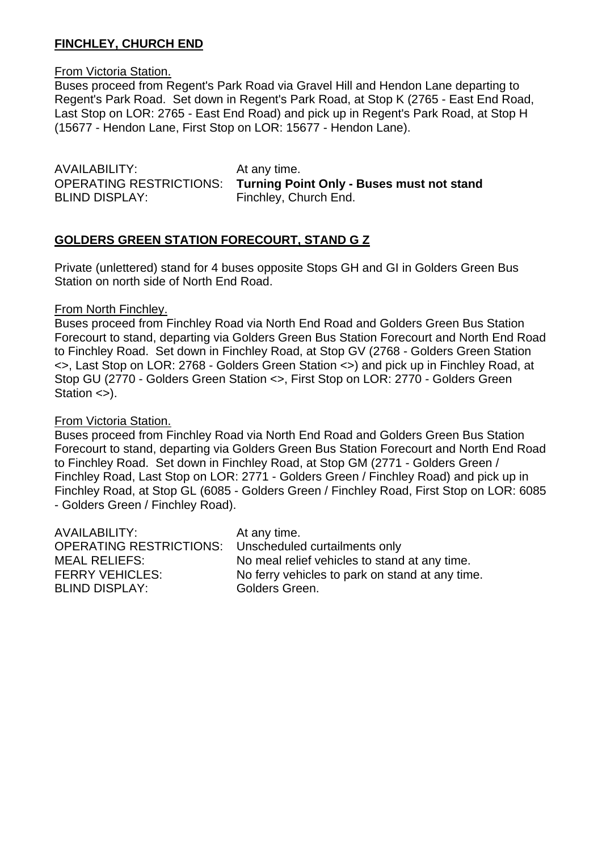## **FINCHLEY, CHURCH END**

From Victoria Station.

Buses proceed from Regent's Park Road via Gravel Hill and Hendon Lane departing to Regent's Park Road. Set down in Regent's Park Road, at Stop K (2765 - East End Road, Last Stop on LOR: 2765 - East End Road) and pick up in Regent's Park Road, at Stop H (15677 - Hendon Lane, First Stop on LOR: 15677 - Hendon Lane).

AVAILABILITY: At any time. BLIND DISPLAY: Finchley, Church End.

OPERATING RESTRICTIONS: **Turning Point Only - Buses must not stand**

#### **GOLDERS GREEN STATION FORECOURT, STAND G Z**

Private (unlettered) stand for 4 buses opposite Stops GH and GI in Golders Green Bus Station on north side of North End Road.

#### From North Finchley.

Buses proceed from Finchley Road via North End Road and Golders Green Bus Station Forecourt to stand, departing via Golders Green Bus Station Forecourt and North End Road to Finchley Road. Set down in Finchley Road, at Stop GV (2768 - Golders Green Station <>, Last Stop on LOR: 2768 - Golders Green Station <>) and pick up in Finchley Road, at Stop GU (2770 - Golders Green Station <>, First Stop on LOR: 2770 - Golders Green Station <>).

#### From Victoria Station.

Buses proceed from Finchley Road via North End Road and Golders Green Bus Station Forecourt to stand, departing via Golders Green Bus Station Forecourt and North End Road to Finchley Road. Set down in Finchley Road, at Stop GM (2771 - Golders Green / Finchley Road, Last Stop on LOR: 2771 - Golders Green / Finchley Road) and pick up in Finchley Road, at Stop GL (6085 - Golders Green / Finchley Road, First Stop on LOR: 6085 - Golders Green / Finchley Road).

| At any time.                                                    |
|-----------------------------------------------------------------|
| <b>OPERATING RESTRICTIONS:</b><br>Unscheduled curtailments only |
| No meal relief vehicles to stand at any time.                   |
| No ferry vehicles to park on stand at any time.                 |
| Golders Green.                                                  |
|                                                                 |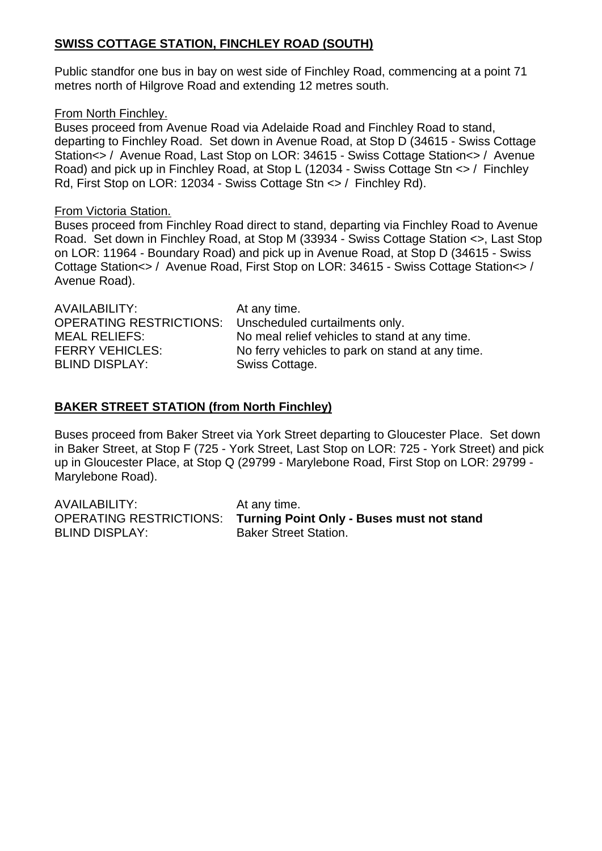## **SWISS COTTAGE STATION, FINCHLEY ROAD (SOUTH)**

Public standfor one bus in bay on west side of Finchley Road, commencing at a point 71 metres north of Hilgrove Road and extending 12 metres south.

#### From North Finchley.

Buses proceed from Avenue Road via Adelaide Road and Finchley Road to stand, departing to Finchley Road. Set down in Avenue Road, at Stop D (34615 - Swiss Cottage Station<> / Avenue Road, Last Stop on LOR: 34615 - Swiss Cottage Station<> / Avenue Road) and pick up in Finchley Road, at Stop L (12034 - Swiss Cottage Stn <> / Finchley Rd, First Stop on LOR: 12034 - Swiss Cottage Stn <> / Finchley Rd).

#### From Victoria Station.

Buses proceed from Finchley Road direct to stand, departing via Finchley Road to Avenue Road. Set down in Finchley Road, at Stop M (33934 - Swiss Cottage Station <>, Last Stop on LOR: 11964 - Boundary Road) and pick up in Avenue Road, at Stop D (34615 - Swiss Cottage Station<> / Avenue Road, First Stop on LOR: 34615 - Swiss Cottage Station<> / Avenue Road).

| AVAILABILITY:                  | At any time.                                    |
|--------------------------------|-------------------------------------------------|
| <b>OPERATING RESTRICTIONS:</b> | Unscheduled curtailments only.                  |
| <b>MEAL RELIEFS:</b>           | No meal relief vehicles to stand at any time.   |
| <b>FERRY VEHICLES:</b>         | No ferry vehicles to park on stand at any time. |
| <b>BLIND DISPLAY:</b>          | Swiss Cottage.                                  |
|                                |                                                 |

## **BAKER STREET STATION (from North Finchley)**

Buses proceed from Baker Street via York Street departing to Gloucester Place. Set down in Baker Street, at Stop F (725 - York Street, Last Stop on LOR: 725 - York Street) and pick up in Gloucester Place, at Stop Q (29799 - Marylebone Road, First Stop on LOR: 29799 - Marylebone Road).

| AVAILABILITY:         | At any time.                                                      |
|-----------------------|-------------------------------------------------------------------|
|                       | OPERATING RESTRICTIONS: Turning Point Only - Buses must not stand |
| <b>BLIND DISPLAY:</b> | <b>Baker Street Station.</b>                                      |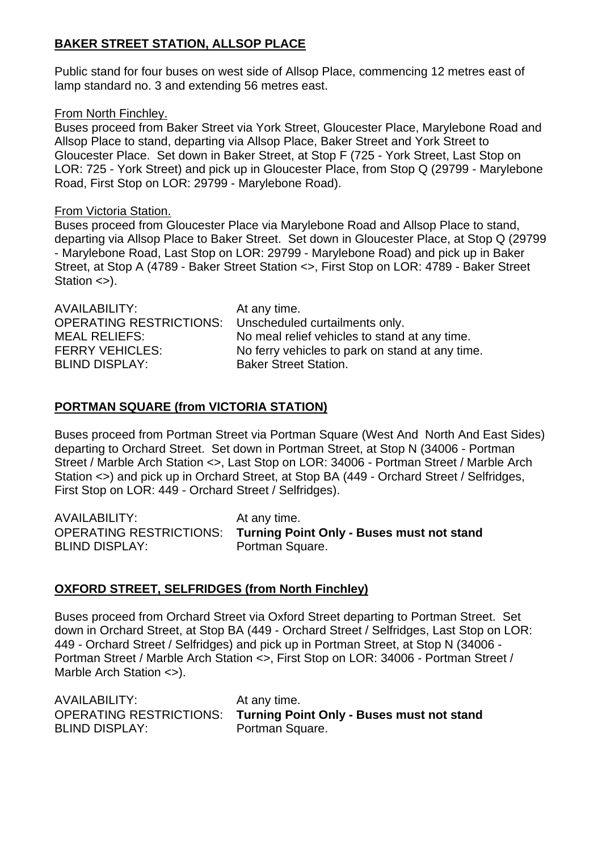## **BAKER STREET STATION, ALLSOP PLACE**

Public stand for four buses on west side of Allsop Place, commencing 12 metres east of lamp standard no. 3 and extending 56 metres east.

#### From North Finchley.

Buses proceed from Baker Street via York Street, Gloucester Place, Marylebone Road and Allsop Place to stand, departing via Allsop Place, Baker Street and York Street to Gloucester Place. Set down in Baker Street, at Stop F (725 - York Street, Last Stop on LOR: 725 - York Street) and pick up in Gloucester Place, from Stop Q (29799 - Marylebone Road, First Stop on LOR: 29799 - Marylebone Road).

#### From Victoria Station.

Buses proceed from Gloucester Place via Marylebone Road and Allsop Place to stand, departing via Allsop Place to Baker Street. Set down in Gloucester Place, at Stop Q (29799 - Marylebone Road, Last Stop on LOR: 29799 - Marylebone Road) and pick up in Baker Street, at Stop A (4789 - Baker Street Station <>, First Stop on LOR: 4789 - Baker Street Station <>).

| AVAILABILITY:<br><b>OPERATING RESTRICTIONS:</b> | At any time.                                                                    |
|-------------------------------------------------|---------------------------------------------------------------------------------|
| <b>MEAL RELIEFS:</b>                            | Unscheduled curtailments only.<br>No meal relief vehicles to stand at any time. |
| <b>FERRY VEHICLES:</b>                          | No ferry vehicles to park on stand at any time.                                 |
| <b>BLIND DISPLAY:</b>                           | <b>Baker Street Station.</b>                                                    |

## **PORTMAN SQUARE (from VICTORIA STATION)**

Buses proceed from Portman Street via Portman Square (West And North And East Sides) departing to Orchard Street. Set down in Portman Street, at Stop N (34006 - Portman Street / Marble Arch Station <>, Last Stop on LOR: 34006 - Portman Street / Marble Arch Station <>) and pick up in Orchard Street, at Stop BA (449 - Orchard Street / Selfridges, First Stop on LOR: 449 - Orchard Street / Selfridges).

| AVAILABILITY:         | At any time.                                                      |
|-----------------------|-------------------------------------------------------------------|
|                       | OPERATING RESTRICTIONS: Turning Point Only - Buses must not stand |
| <b>BLIND DISPLAY:</b> | Portman Square.                                                   |

## **OXFORD STREET, SELFRIDGES (from North Finchley)**

Buses proceed from Orchard Street via Oxford Street departing to Portman Street. Set down in Orchard Street, at Stop BA (449 - Orchard Street / Selfridges, Last Stop on LOR: 449 - Orchard Street / Selfridges) and pick up in Portman Street, at Stop N (34006 - Portman Street / Marble Arch Station <>, First Stop on LOR: 34006 - Portman Street / Marble Arch Station <>).

| AVAILABILITY:         | At any time.                                                      |
|-----------------------|-------------------------------------------------------------------|
|                       | OPERATING RESTRICTIONS: Turning Point Only - Buses must not stand |
| <b>BLIND DISPLAY:</b> | Portman Square.                                                   |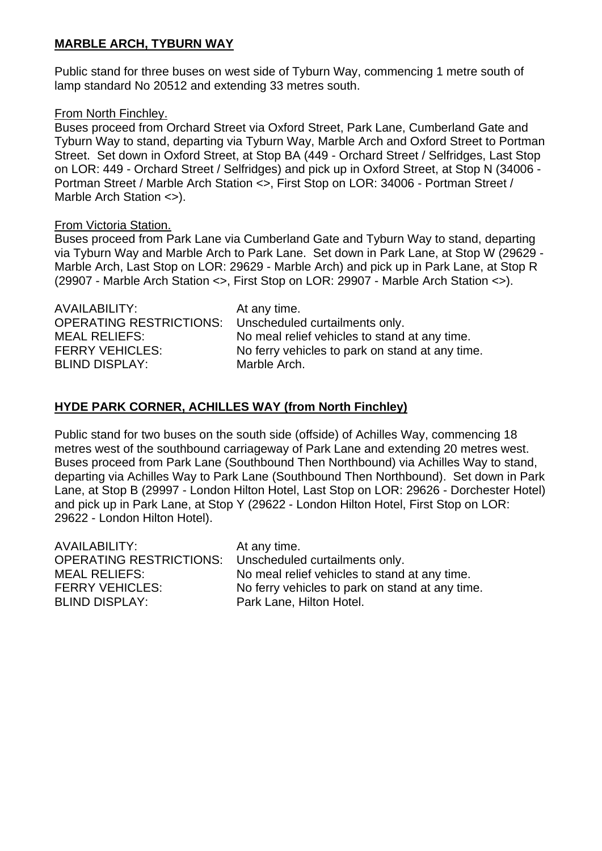## **MARBLE ARCH, TYBURN WAY**

Public stand for three buses on west side of Tyburn Way, commencing 1 metre south of lamp standard No 20512 and extending 33 metres south.

#### From North Finchley.

Buses proceed from Orchard Street via Oxford Street, Park Lane, Cumberland Gate and Tyburn Way to stand, departing via Tyburn Way, Marble Arch and Oxford Street to Portman Street. Set down in Oxford Street, at Stop BA (449 - Orchard Street / Selfridges, Last Stop on LOR: 449 - Orchard Street / Selfridges) and pick up in Oxford Street, at Stop N (34006 - Portman Street / Marble Arch Station <>, First Stop on LOR: 34006 - Portman Street / Marble Arch Station <>).

#### From Victoria Station.

Buses proceed from Park Lane via Cumberland Gate and Tyburn Way to stand, departing via Tyburn Way and Marble Arch to Park Lane. Set down in Park Lane, at Stop W (29629 - Marble Arch, Last Stop on LOR: 29629 - Marble Arch) and pick up in Park Lane, at Stop R (29907 - Marble Arch Station <>, First Stop on LOR: 29907 - Marble Arch Station <>).

## **HYDE PARK CORNER, ACHILLES WAY (from North Finchley)**

Public stand for two buses on the south side (offside) of Achilles Way, commencing 18 metres west of the southbound carriageway of Park Lane and extending 20 metres west. Buses proceed from Park Lane (Southbound Then Northbound) via Achilles Way to stand, departing via Achilles Way to Park Lane (Southbound Then Northbound). Set down in Park Lane, at Stop B (29997 - London Hilton Hotel, Last Stop on LOR: 29626 - Dorchester Hotel) and pick up in Park Lane, at Stop Y (29622 - London Hilton Hotel, First Stop on LOR: 29622 - London Hilton Hotel).

| At any time.                                              |
|-----------------------------------------------------------|
| OPERATING RESTRICTIONS:<br>Unscheduled curtailments only. |
| No meal relief vehicles to stand at any time.             |
| No ferry vehicles to park on stand at any time.           |
| Park Lane, Hilton Hotel.                                  |
|                                                           |